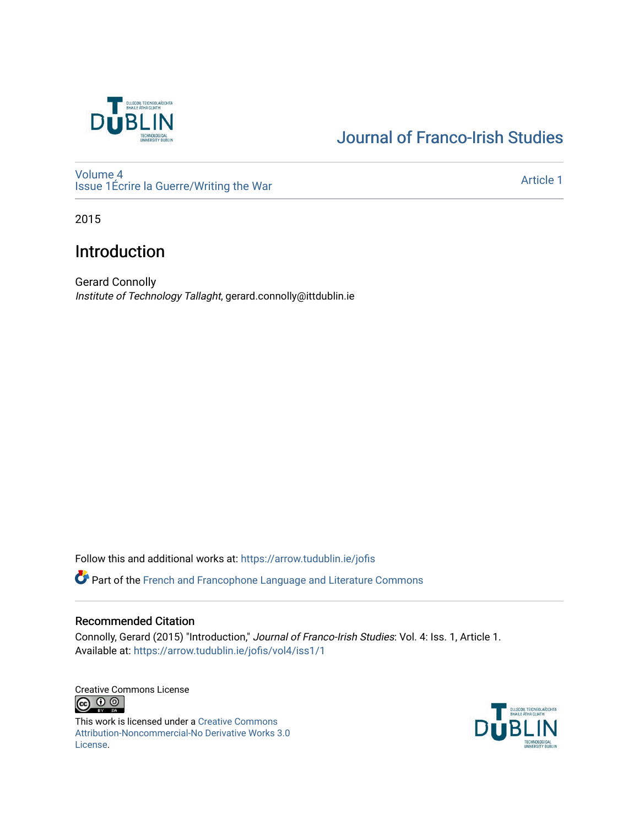

# [Journal of Franco-Irish Studies](https://arrow.tudublin.ie/jofis)

[Volume 4](https://arrow.tudublin.ie/jofis/vol4) [Issue 1](https://arrow.tudublin.ie/jofis/vol4/iss1)Écrire la Guerre/Writing the War Article 1<br>
Issue 1Écrire la Guerre/Writing the War

2015

## Introduction

Gerard Connolly Institute of Technology Tallaght, gerard.connolly@ittdublin.ie

Follow this and additional works at: [https://arrow.tudublin.ie/jofis](https://arrow.tudublin.ie/jofis?utm_source=arrow.tudublin.ie%2Fjofis%2Fvol4%2Fiss1%2F1&utm_medium=PDF&utm_campaign=PDFCoverPages) 

**P** Part of the French and Francophone Language and Literature Commons

### Recommended Citation

Connolly, Gerard (2015) "Introduction," Journal of Franco-Irish Studies: Vol. 4: Iss. 1, Article 1. Available at: [https://arrow.tudublin.ie/jofis/vol4/iss1/1](https://arrow.tudublin.ie/jofis/vol4/iss1/1?utm_source=arrow.tudublin.ie%2Fjofis%2Fvol4%2Fiss1%2F1&utm_medium=PDF&utm_campaign=PDFCoverPages) 

Creative Commons License <u>ම 0 ල</u>

This work is licensed under a [Creative Commons](https://creativecommons.org/licenses/by-nc-nd/3.0/) [Attribution-Noncommercial-No Derivative Works 3.0](https://creativecommons.org/licenses/by-nc-nd/3.0/) [License.](https://creativecommons.org/licenses/by-nc-nd/3.0/)

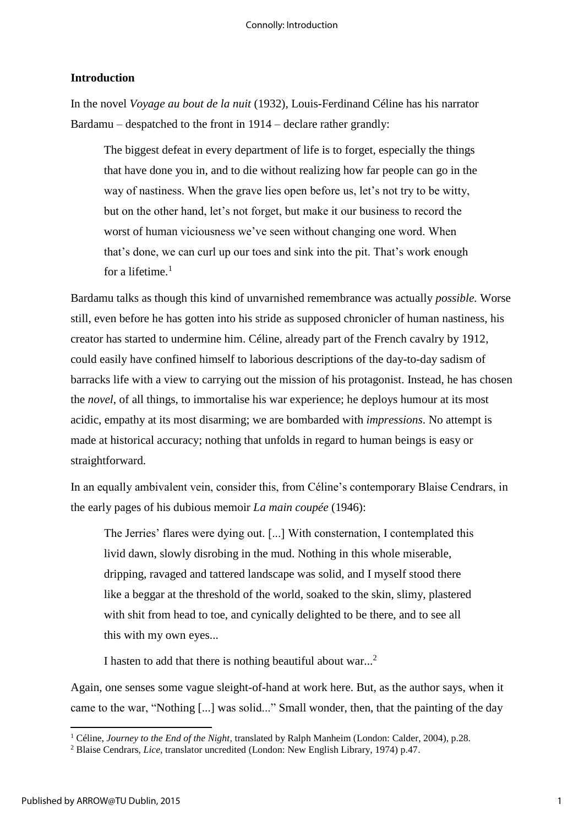#### **Introduction**

In the novel *Voyage au bout de la nuit* (1932), Louis-Ferdinand Céline has his narrator Bardamu – despatched to the front in 1914 – declare rather grandly:

The biggest defeat in every department of life is to forget, especially the things that have done you in, and to die without realizing how far people can go in the way of nastiness. When the grave lies open before us, let's not try to be witty, but on the other hand, let's not forget, but make it our business to record the worst of human viciousness we've seen without changing one word. When that's done, we can curl up our toes and sink into the pit. That's work enough for a lifetime. $<sup>1</sup>$ </sup>

Bardamu talks as though this kind of unvarnished remembrance was actually *possible.* Worse still, even before he has gotten into his stride as supposed chronicler of human nastiness, his creator has started to undermine him. Céline, already part of the French cavalry by 1912, could easily have confined himself to laborious descriptions of the day-to-day sadism of barracks life with a view to carrying out the mission of his protagonist. Instead, he has chosen the *novel*, of all things, to immortalise his war experience; he deploys humour at its most acidic, empathy at its most disarming; we are bombarded with *impressions*. No attempt is made at historical accuracy; nothing that unfolds in regard to human beings is easy or straightforward.

In an equally ambivalent vein, consider this, from Céline's contemporary Blaise Cendrars, in the early pages of his dubious memoir *La main coupée* (1946):

The Jerries' flares were dying out. [...] With consternation, I contemplated this livid dawn, slowly disrobing in the mud. Nothing in this whole miserable, dripping, ravaged and tattered landscape was solid, and I myself stood there like a beggar at the threshold of the world, soaked to the skin, slimy, plastered with shit from head to toe, and cynically delighted to be there, and to see all this with my own eyes...

I hasten to add that there is nothing beautiful about war...<sup>2</sup>

Again, one senses some vague sleight-of-hand at work here. But, as the author says, when it came to the war, "Nothing [...] was solid..." Small wonder, then, that the painting of the day

**.** 

<sup>1</sup> Céline, *Journey to the End of the Night,* translated by Ralph Manheim (London: Calder, 2004), p.28.

<sup>2</sup> Blaise Cendrars, *Lice,* translator uncredited (London: New English Library, 1974) p.47.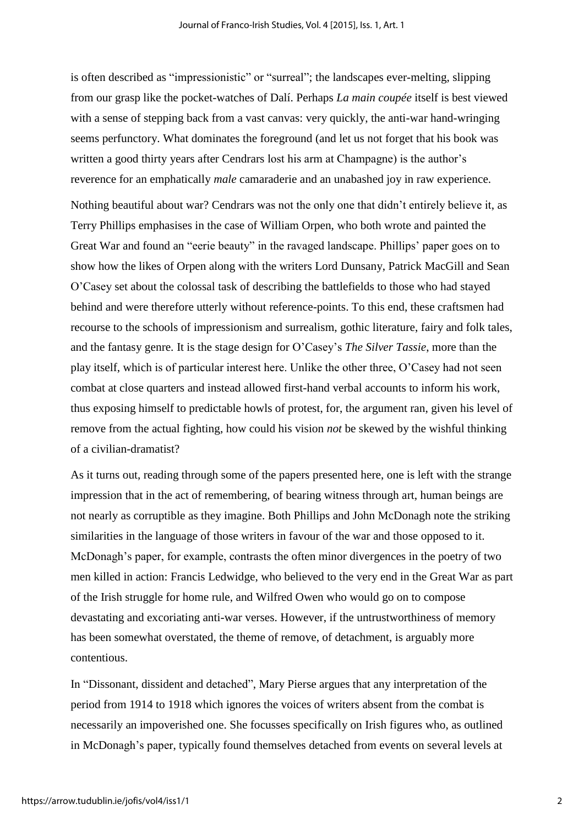is often described as "impressionistic" or "surreal"; the landscapes ever-melting, slipping from our grasp like the pocket-watches of Dalí. Perhaps *La main coupée* itself is best viewed with a sense of stepping back from a vast canvas: very quickly, the anti-war hand-wringing seems perfunctory. What dominates the foreground (and let us not forget that his book was written a good thirty years after Cendrars lost his arm at Champagne) is the author's reverence for an emphatically *male* camaraderie and an unabashed joy in raw experience. Nothing beautiful about war? Cendrars was not the only one that didn't entirely believe it, as Terry Phillips emphasises in the case of William Orpen, who both wrote and painted the Great War and found an "eerie beauty" in the ravaged landscape. Phillips' paper goes on to show how the likes of Orpen along with the writers Lord Dunsany, Patrick MacGill and Sean O'Casey set about the colossal task of describing the battlefields to those who had stayed behind and were therefore utterly without reference-points. To this end, these craftsmen had recourse to the schools of impressionism and surrealism, gothic literature, fairy and folk tales, and the fantasy genre. It is the stage design for O'Casey's *The Silver Tassie*, more than the play itself, which is of particular interest here. Unlike the other three, O'Casey had not seen combat at close quarters and instead allowed first-hand verbal accounts to inform his work, thus exposing himself to predictable howls of protest, for, the argument ran, given his level of remove from the actual fighting, how could his vision *not* be skewed by the wishful thinking of a civilian-dramatist?

As it turns out, reading through some of the papers presented here, one is left with the strange impression that in the act of remembering, of bearing witness through art, human beings are not nearly as corruptible as they imagine. Both Phillips and John McDonagh note the striking similarities in the language of those writers in favour of the war and those opposed to it. McDonagh's paper, for example, contrasts the often minor divergences in the poetry of two men killed in action: Francis Ledwidge, who believed to the very end in the Great War as part of the Irish struggle for home rule, and Wilfred Owen who would go on to compose devastating and excoriating anti-war verses. However, if the untrustworthiness of memory has been somewhat overstated, the theme of remove, of detachment, is arguably more contentious.

In "Dissonant, dissident and detached", Mary Pierse argues that any interpretation of the period from 1914 to 1918 which ignores the voices of writers absent from the combat is necessarily an impoverished one. She focusses specifically on Irish figures who, as outlined in McDonagh's paper, typically found themselves detached from events on several levels at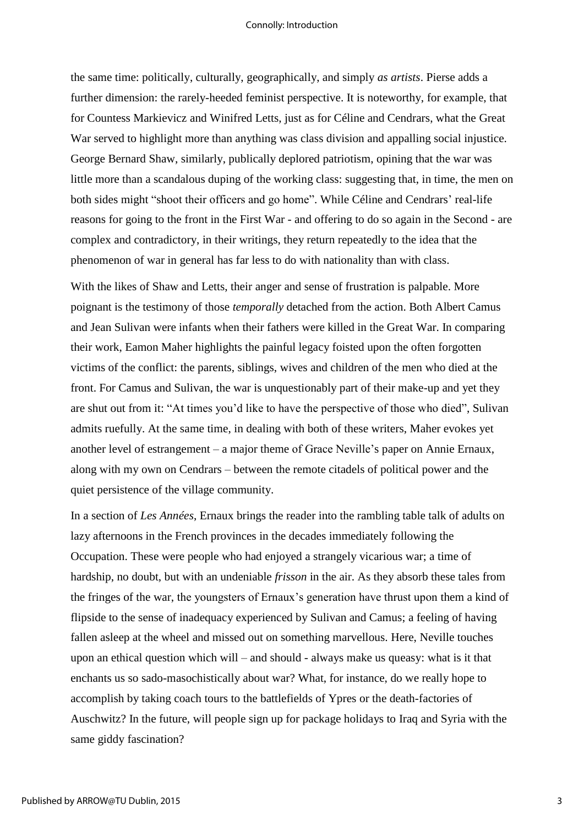#### Connolly: Introduction

the same time: politically, culturally, geographically, and simply *as artists*. Pierse adds a further dimension: the rarely-heeded feminist perspective. It is noteworthy, for example, that for Countess Markievicz and Winifred Letts, just as for Céline and Cendrars, what the Great War served to highlight more than anything was class division and appalling social injustice. George Bernard Shaw, similarly, publically deplored patriotism, opining that the war was little more than a scandalous duping of the working class: suggesting that, in time, the men on both sides might "shoot their officers and go home". While Céline and Cendrars' real-life reasons for going to the front in the First War - and offering to do so again in the Second - are complex and contradictory, in their writings, they return repeatedly to the idea that the phenomenon of war in general has far less to do with nationality than with class.

With the likes of Shaw and Letts, their anger and sense of frustration is palpable. More poignant is the testimony of those *temporally* detached from the action. Both Albert Camus and Jean Sulivan were infants when their fathers were killed in the Great War. In comparing their work, Eamon Maher highlights the painful legacy foisted upon the often forgotten victims of the conflict: the parents, siblings, wives and children of the men who died at the front. For Camus and Sulivan, the war is unquestionably part of their make-up and yet they are shut out from it: "At times you'd like to have the perspective of those who died", Sulivan admits ruefully. At the same time, in dealing with both of these writers, Maher evokes yet another level of estrangement – a major theme of Grace Neville's paper on Annie Ernaux, along with my own on Cendrars – between the remote citadels of political power and the quiet persistence of the village community.

In a section of *Les Années*, Ernaux brings the reader into the rambling table talk of adults on lazy afternoons in the French provinces in the decades immediately following the Occupation. These were people who had enjoyed a strangely vicarious war; a time of hardship, no doubt, but with an undeniable *frisson* in the air. As they absorb these tales from the fringes of the war, the youngsters of Ernaux's generation have thrust upon them a kind of flipside to the sense of inadequacy experienced by Sulivan and Camus; a feeling of having fallen asleep at the wheel and missed out on something marvellous. Here, Neville touches upon an ethical question which will – and should - always make us queasy: what is it that enchants us so sado-masochistically about war? What, for instance, do we really hope to accomplish by taking coach tours to the battlefields of Ypres or the death-factories of Auschwitz? In the future, will people sign up for package holidays to Iraq and Syria with the same giddy fascination?